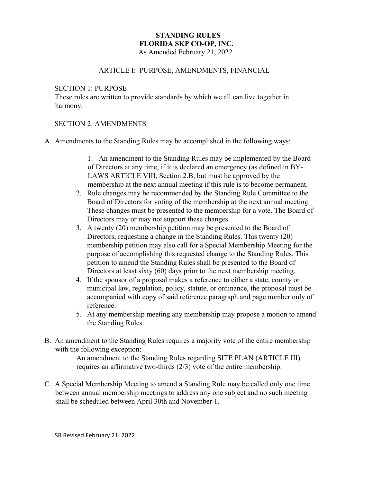#### **STANDING RULES FLORIDA SKP CO-OP, INC.** As Amended February 21, 2022

## ARTICLE I: PURPOSE, AMENDMENTS, FINANCIAL

#### SECTION 1: PURPOSE

These rules are written to provide standards by which we all can live together in harmony.

#### SECTION 2: AMENDMENTS

A. Amendments to the Standing Rules may be accomplished in the following ways:

1. An amendment to the Standing Rules may be implemented by the Board of Directors at any time, if it is declared an emergency (as defined in BY-LAWS ARTICLE VIII, Section 2.B, but must be approved by the membership at the next annual meeting if this rule is to become permanent.

- 2. Rule changes may be recommended by the Standing Rule Committee to the Board of Directors for voting of the membership at the next annual meeting. These changes must be presented to the membership for a vote. The Board of Directors may or may not support these changes.
- 3. A twenty (20) membership petition may be presented to the Board of Directors, requesting a change in the Standing Rules. This twenty (20) membership petition may also call for a Special Membership Meeting for the purpose of accomplishing this requested change to the Standing Rules. This petition to amend the Standing Rules shall be presented to the Board of Directors at least sixty (60) days prior to the next membership meeting.
- 4. If the sponsor of a proposal makes a reference to either a state, county or municipal law, regulation, policy, statute, or ordinance, the proposal must be accompanied with copy of said reference paragraph and page number only of reference.
- 5. At any membership meeting any membership may propose a motion to amend the Standing Rules.
- B. An amendment to the Standing Rules requires a majority vote of the entire membership with the following exception:

An amendment to the Standing Rules regarding SITE PLAN (ARTICLE III) requires an affirmative two-thirds (2/3) vote of the entire membership.

C. A Special Membership Meeting to amend a Standing Rule may be called only one time between annual membership meetings to address any one subject and no such meeting shall be scheduled between April 30th and November 1.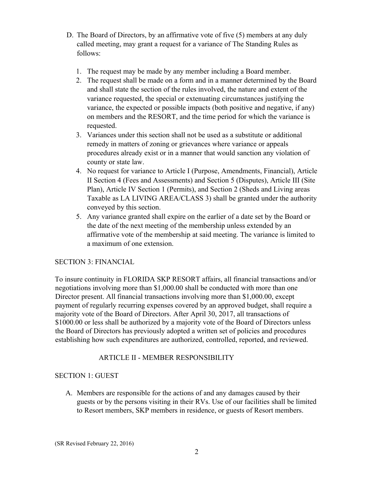- D. The Board of Directors, by an affirmative vote of five (5) members at any duly called meeting, may grant a request for a variance of The Standing Rules as follows:
	- 1. The request may be made by any member including a Board member.
	- 2. The request shall be made on a form and in a manner determined by the Board and shall state the section of the rules involved, the nature and extent of the variance requested, the special or extenuating circumstances justifying the variance, the expected or possible impacts (both positive and negative, if any) on members and the RESORT, and the time period for which the variance is requested.
	- 3. Variances under this section shall not be used as a substitute or additional remedy in matters of zoning or grievances where variance or appeals procedures already exist or in a manner that would sanction any violation of county or state law.
	- 4. No request for variance to Article I (Purpose, Amendments, Financial), Article II Section 4 (Fees and Assessments) and Section 5 (Disputes), Article III (Site Plan), Article IV Section 1 (Permits), and Section 2 (Sheds and Living areas Taxable as LA LIVING AREA/CLASS 3) shall be granted under the authority conveyed by this section.
	- 5. Any variance granted shall expire on the earlier of a date set by the Board or the date of the next meeting of the membership unless extended by an affirmative vote of the membership at said meeting. The variance is limited to a maximum of one extension.

# SECTION 3: FINANCIAL

To insure continuity in FLORIDA SKP RESORT affairs, all financial transactions and/or negotiations involving more than \$1,000.00 shall be conducted with more than one Director present. All financial transactions involving more than \$1,000.00, except payment of regularly recurring expenses covered by an approved budget, shall require a majority vote of the Board of Directors. After April 30, 2017, all transactions of \$1000.00 or less shall be authorized by a majority vote of the Board of Directors unless the Board of Directors has previously adopted a written set of policies and procedures establishing how such expenditures are authorized, controlled, reported, and reviewed.

# ARTICLE II - MEMBER RESPONSIBILITY

# SECTION 1: GUEST

A. Members are responsible for the actions of and any damages caused by their guests or by the persons visiting in their RVs. Use of our facilities shall be limited to Resort members, SKP members in residence, or guests of Resort members.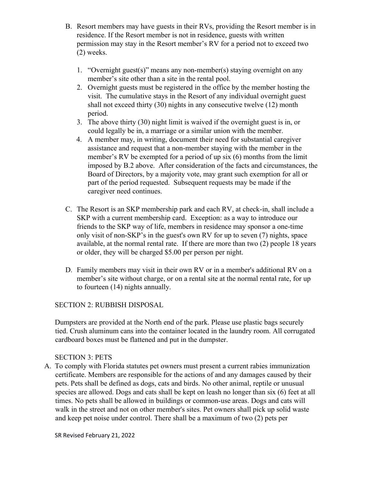- B. Resort members may have guests in their RVs, providing the Resort member is in residence. If the Resort member is not in residence, guests with written permission may stay in the Resort member's RV for a period not to exceed two (2) weeks.
	- 1. "Overnight guest(s)" means any non-member(s) staying overnight on any member's site other than a site in the rental pool.
	- 2. Overnight guests must be registered in the office by the member hosting the visit. The cumulative stays in the Resort of any individual overnight guest shall not exceed thirty (30) nights in any consecutive twelve (12) month period.
	- 3. The above thirty (30) night limit is waived if the overnight guest is in, or could legally be in, a marriage or a similar union with the member.
	- 4. A member may, in writing, document their need for substantial caregiver assistance and request that a non-member staying with the member in the member's RV be exempted for a period of up six (6) months from the limit imposed by B.2 above. After consideration of the facts and circumstances, the Board of Directors, by a majority vote, may grant such exemption for all or part of the period requested. Subsequent requests may be made if the caregiver need continues.
- C. The Resort is an SKP membership park and each RV, at check-in, shall include a SKP with a current membership card. Exception: as a way to introduce our friends to the SKP way of life, members in residence may sponsor a one-time only visit of non-SKP's in the guest's own RV for up to seven (7) nights, space available, at the normal rental rate. If there are more than two (2) people 18 years or older, they will be charged \$5.00 per person per night.
- D. Family members may visit in their own RV or in a member's additional RV on a member's site without charge, or on a rental site at the normal rental rate, for up to fourteen (14) nights annually.

## SECTION 2: RUBBISH DISPOSAL

Dumpsters are provided at the North end of the park. Please use plastic bags securely tied. Crush aluminum cans into the container located in the laundry room. All corrugated cardboard boxes must be flattened and put in the dumpster.

## SECTION 3: PETS

A. To comply with Florida statutes pet owners must present a current rabies immunization certificate. Members are responsible for the actions of and any damages caused by their pets. Pets shall be defined as dogs, cats and birds. No other animal, reptile or unusual species are allowed. Dogs and cats shall be kept on leash no longer than six (6) feet at all times. No pets shall be allowed in buildings or common-use areas. Dogs and cats will walk in the street and not on other member's sites. Pet owners shall pick up solid waste and keep pet noise under control. There shall be a maximum of two (2) pets per

SR Revised February 21, 2022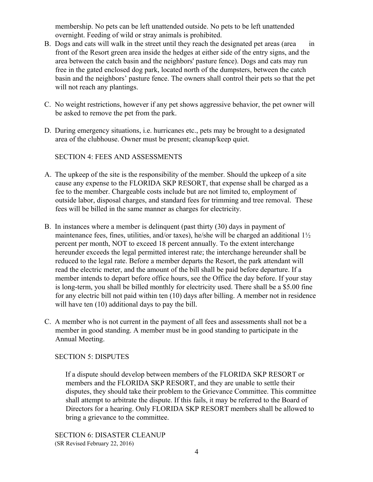membership. No pets can be left unattended outside. No pets to be left unattended overnight. Feeding of wild or stray animals is prohibited.

- B. Dogs and cats will walk in the street until they reach the designated pet areas (area in front of the Resort green area inside the hedges at either side of the entry signs, and the area between the catch basin and the neighbors' pasture fence). Dogs and cats may run free in the gated enclosed dog park, located north of the dumpsters, between the catch basin and the neighbors' pasture fence. The owners shall control their pets so that the pet will not reach any plantings.
- C. No weight restrictions, however if any pet shows aggressive behavior, the pet owner will be asked to remove the pet from the park.
- D. During emergency situations, i.e. hurricanes etc., pets may be brought to a designated area of the clubhouse. Owner must be present; cleanup/keep quiet.

SECTION 4: FEES AND ASSESSMENTS

- A. The upkeep of the site is the responsibility of the member. Should the upkeep of a site cause any expense to the FLORIDA SKP RESORT, that expense shall be charged as a fee to the member. Chargeable costs include but are not limited to, employment of outside labor, disposal charges, and standard fees for trimming and tree removal. These fees will be billed in the same manner as charges for electricity.
- B. In instances where a member is delinquent (past thirty (30) days in payment of maintenance fees, fines, utilities, and/or taxes), he/she will be charged an additional 1½ percent per month, NOT to exceed 18 percent annually. To the extent interchange hereunder exceeds the legal permitted interest rate; the interchange hereunder shall be reduced to the legal rate. Before a member departs the Resort, the park attendant will read the electric meter, and the amount of the bill shall be paid before departure. If a member intends to depart before office hours, see the Office the day before. If your stay is long-term, you shall be billed monthly for electricity used. There shall be a \$5.00 fine for any electric bill not paid within ten (10) days after billing. A member not in residence will have ten  $(10)$  additional days to pay the bill.
- C. A member who is not current in the payment of all fees and assessments shall not be a member in good standing. A member must be in good standing to participate in the Annual Meeting.

## SECTION 5: DISPUTES

If a dispute should develop between members of the FLORIDA SKP RESORT or members and the FLORIDA SKP RESORT, and they are unable to settle their disputes, they should take their problem to the Grievance Committee. This committee shall attempt to arbitrate the dispute. If this fails, it may be referred to the Board of Directors for a hearing. Only FLORIDA SKP RESORT members shall be allowed to bring a grievance to the committee.

SECTION 6: DISASTER CLEANUP (SR Revised February 22, 2016)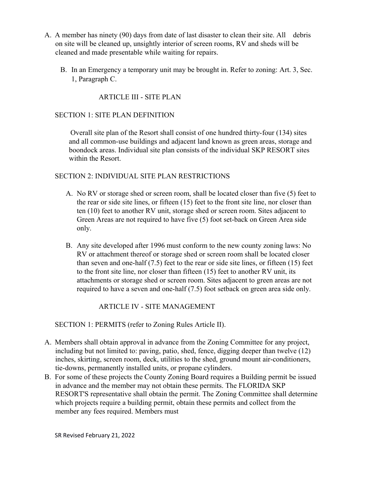- A. A member has ninety (90) days from date of last disaster to clean their site. All debris on site will be cleaned up, unsightly interior of screen rooms, RV and sheds will be cleaned and made presentable while waiting for repairs.
	- B. In an Emergency a temporary unit may be brought in. Refer to zoning: Art. 3, Sec. 1, Paragraph C.

ARTICLE III - SITE PLAN

## SECTION 1: SITE PLAN DEFINITION

 Overall site plan of the Resort shall consist of one hundred thirty-four (134) sites and all common-use buildings and adjacent land known as green areas, storage and boondock areas. Individual site plan consists of the individual SKP RESORT sites within the Resort.

## SECTION 2: INDIVIDUAL SITE PLAN RESTRICTIONS

- A. No RV or storage shed or screen room, shall be located closer than five (5) feet to the rear or side site lines, or fifteen (15) feet to the front site line, nor closer than ten (10) feet to another RV unit, storage shed or screen room. Sites adjacent to Green Areas are not required to have five (5) foot set-back on Green Area side only.
- B. Any site developed after 1996 must conform to the new county zoning laws: No RV or attachment thereof or storage shed or screen room shall be located closer than seven and one-half (7.5) feet to the rear or side site lines, or fifteen (15) feet to the front site line, nor closer than fifteen (15) feet to another RV unit, its attachments or storage shed or screen room. Sites adjacent to green areas are not required to have a seven and one-half (7.5) foot setback on green area side only.

ARTICLE IV - SITE MANAGEMENT

SECTION 1: PERMITS (refer to Zoning Rules Article II).

- A. Members shall obtain approval in advance from the Zoning Committee for any project, including but not limited to: paving, patio, shed, fence, digging deeper than twelve (12) inches, skirting, screen room, deck, utilities to the shed, ground mount air-conditioners, tie-downs, permanently installed units, or propane cylinders.
- B. For some of these projects the County Zoning Board requires a Building permit be issued in advance and the member may not obtain these permits. The FLORIDA SKP RESORT'S representative shall obtain the permit. The Zoning Committee shall determine which projects require a building permit, obtain these permits and collect from the member any fees required. Members must

SR Revised February 21, 2022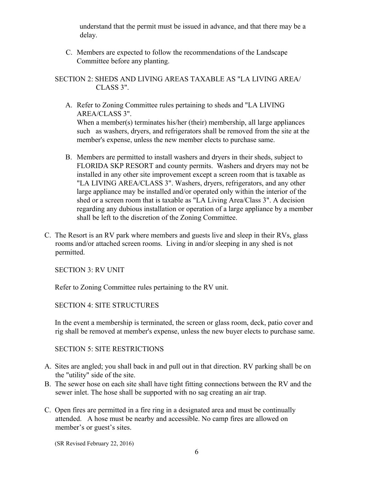understand that the permit must be issued in advance, and that there may be a delay.

C. Members are expected to follow the recommendations of the Landscape Committee before any planting.

SECTION 2: SHEDS AND LIVING AREAS TAXABLE AS "LA LIVING AREA/ CLASS 3".

- A. Refer to Zoning Committee rules pertaining to sheds and "LA LIVING AREA/CLASS 3". When a member(s) terminates his/her (their) membership, all large appliances such as washers, dryers, and refrigerators shall be removed from the site at the member's expense, unless the new member elects to purchase same.
- B. Members are permitted to install washers and dryers in their sheds, subject to FLORIDA SKP RESORT and county permits. Washers and dryers may not be installed in any other site improvement except a screen room that is taxable as "LA LIVING AREA/CLASS 3". Washers, dryers, refrigerators, and any other large appliance may be installed and/or operated only within the interior of the shed or a screen room that is taxable as "LA Living Area/Class 3". A decision regarding any dubious installation or operation of a large appliance by a member shall be left to the discretion of the Zoning Committee.
- C. The Resort is an RV park where members and guests live and sleep in their RVs, glass rooms and/or attached screen rooms. Living in and/or sleeping in any shed is not permitted.

SECTION 3: RV UNIT

Refer to Zoning Committee rules pertaining to the RV unit.

SECTION 4: SITE STRUCTURES

In the event a membership is terminated, the screen or glass room, deck, patio cover and rig shall be removed at member's expense, unless the new buyer elects to purchase same.

#### SECTION 5: SITE RESTRICTIONS

- A. Sites are angled; you shall back in and pull out in that direction. RV parking shall be on the "utility" side of the site.
- B. The sewer hose on each site shall have tight fitting connections between the RV and the sewer inlet. The hose shall be supported with no sag creating an air trap.
- C. Open fires are permitted in a fire ring in a designated area and must be continually attended. A hose must be nearby and accessible. No camp fires are allowed on member's or guest's sites.

(SR Revised February 22, 2016)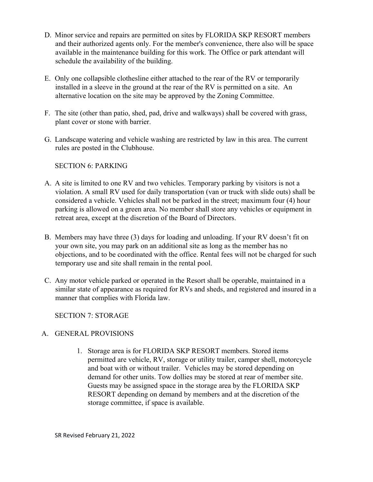- D. Minor service and repairs are permitted on sites by FLORIDA SKP RESORT members and their authorized agents only. For the member's convenience, there also will be space available in the maintenance building for this work. The Office or park attendant will schedule the availability of the building.
- E. Only one collapsible clothesline either attached to the rear of the RV or temporarily installed in a sleeve in the ground at the rear of the RV is permitted on a site. An alternative location on the site may be approved by the Zoning Committee.
- F. The site (other than patio, shed, pad, drive and walkways) shall be covered with grass, plant cover or stone with barrier.
- G. Landscape watering and vehicle washing are restricted by law in this area. The current rules are posted in the Clubhouse.

## SECTION 6: PARKING

- A. A site is limited to one RV and two vehicles. Temporary parking by visitors is not a violation. A small RV used for daily transportation (van or truck with slide outs) shall be considered a vehicle. Vehicles shall not be parked in the street; maximum four (4) hour parking is allowed on a green area. No member shall store any vehicles or equipment in retreat area, except at the discretion of the Board of Directors.
- B. Members may have three (3) days for loading and unloading. If your RV doesn't fit on your own site, you may park on an additional site as long as the member has no objections, and to be coordinated with the office. Rental fees will not be charged for such temporary use and site shall remain in the rental pool.
- C. Any motor vehicle parked or operated in the Resort shall be operable, maintained in a similar state of appearance as required for RVs and sheds, and registered and insured in a manner that complies with Florida law.

SECTION 7: STORAGE

## A. GENERAL PROVISIONS

1. Storage area is for FLORIDA SKP RESORT members. Stored items permitted are vehicle, RV, storage or utility trailer, camper shell, motorcycle and boat with or without trailer. Vehicles may be stored depending on demand for other units. Tow dollies may be stored at rear of member site. Guests may be assigned space in the storage area by the FLORIDA SKP RESORT depending on demand by members and at the discretion of the storage committee, if space is available.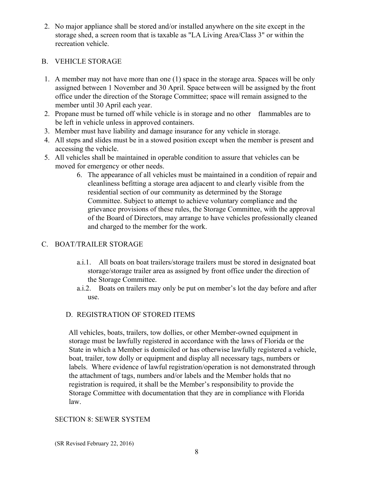2. No major appliance shall be stored and/or installed anywhere on the site except in the storage shed, a screen room that is taxable as "LA Living Area/Class 3" or within the recreation vehicle.

#### B. VEHICLE STORAGE

- 1. A member may not have more than one (1) space in the storage area. Spaces will be only assigned between 1 November and 30 April. Space between will be assigned by the front office under the direction of the Storage Committee; space will remain assigned to the member until 30 April each year.
- 2. Propane must be turned off while vehicle is in storage and no other flammables are to be left in vehicle unless in approved containers.
- 3. Member must have liability and damage insurance for any vehicle in storage.
- 4. All steps and slides must be in a stowed position except when the member is present and accessing the vehicle.
- 5. All vehicles shall be maintained in operable condition to assure that vehicles can be moved for emergency or other needs.
	- 6. The appearance of all vehicles must be maintained in a condition of repair and cleanliness befitting a storage area adjacent to and clearly visible from the residential section of our community as determined by the Storage Committee. Subject to attempt to achieve voluntary compliance and the grievance provisions of these rules, the Storage Committee, with the approval of the Board of Directors, may arrange to have vehicles professionally cleaned and charged to the member for the work.

#### C. BOAT/TRAILER STORAGE

- a.i.1. All boats on boat trailers/storage trailers must be stored in designated boat storage/storage trailer area as assigned by front office under the direction of the Storage Committee.
- a.i.2. Boats on trailers may only be put on member's lot the day before and after use.

## D. REGISTRATION OF STORED ITEMS

All vehicles, boats, trailers, tow dollies, or other Member-owned equipment in storage must be lawfully registered in accordance with the laws of Florida or the State in which a Member is domiciled or has otherwise lawfully registered a vehicle, boat, trailer, tow dolly or equipment and display all necessary tags, numbers or labels. Where evidence of lawful registration/operation is not demonstrated through the attachment of tags, numbers and/or labels and the Member holds that no registration is required, it shall be the Member's responsibility to provide the Storage Committee with documentation that they are in compliance with Florida law.

#### SECTION 8: SEWER SYSTEM

(SR Revised February 22, 2016)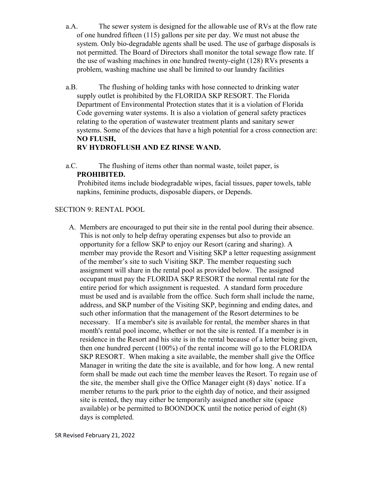- a.A. The sewer system is designed for the allowable use of RVs at the flow rate of one hundred fifteen (115) gallons per site per day. We must not abuse the system. Only bio-degradable agents shall be used. The use of garbage disposals is not permitted. The Board of Directors shall monitor the total sewage flow rate. If the use of washing machines in one hundred twenty-eight (128) RVs presents a problem, washing machine use shall be limited to our laundry facilities
- a.B. The flushing of holding tanks with hose connected to drinking water supply outlet is prohibited by the FLORIDA SKP RESORT. The Florida Department of Environmental Protection states that it is a violation of Florida Code governing water systems. It is also a violation of general safety practices relating to the operation of wastewater treatment plants and sanitary sewer systems. Some of the devices that have a high potential for a cross connection are: **NO FLUSH,**

## **RV HYDROFLUSH AND EZ RINSE WAND.**

a.C. The flushing of items other than normal waste, toilet paper, is **PROHIBITED.** 

 Prohibited items include biodegradable wipes, facial tissues, paper towels, table napkins, feminine products, disposable diapers, or Depends.

## SECTION 9: RENTAL POOL

A. Members are encouraged to put their site in the rental pool during their absence. This is not only to help defray operating expenses but also to provide an opportunity for a fellow SKP to enjoy our Resort (caring and sharing). A member may provide the Resort and Visiting SKP a letter requesting assignment of the member's site to such Visiting SKP. The member requesting such assignment will share in the rental pool as provided below. The assigned occupant must pay the FLORIDA SKP RESORT the normal rental rate for the entire period for which assignment is requested. A standard form procedure must be used and is available from the office. Such form shall include the name, address, and SKP number of the Visiting SKP, beginning and ending dates, and such other information that the management of the Resort determines to be necessary. If a member's site is available for rental, the member shares in that month's rental pool income, whether or not the site is rented. If a member is in residence in the Resort and his site is in the rental because of a letter being given, then one hundred percent (100%) of the rental income will go to the FLORIDA SKP RESORT. When making a site available, the member shall give the Office Manager in writing the date the site is available, and for how long. A new rental form shall be made out each time the member leaves the Resort. To regain use of the site, the member shall give the Office Manager eight (8) days' notice. If a member returns to the park prior to the eighth day of notice, and their assigned site is rented, they may either be temporarily assigned another site (space available) or be permitted to BOONDOCK until the notice period of eight (8) days is completed.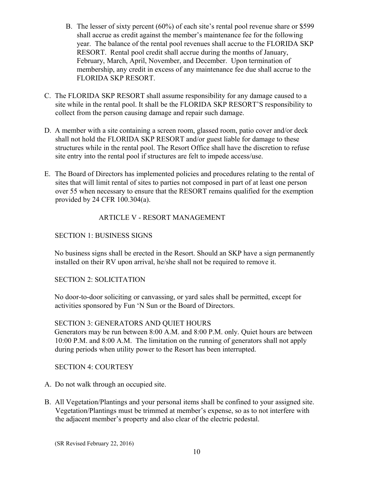- B. The lesser of sixty percent (60%) of each site's rental pool revenue share or \$599 shall accrue as credit against the member's maintenance fee for the following year. The balance of the rental pool revenues shall accrue to the FLORIDA SKP RESORT. Rental pool credit shall accrue during the months of January, February, March, April, November, and December. Upon termination of membership, any credit in excess of any maintenance fee due shall accrue to the FLORIDA SKP RESORT.
- C. The FLORIDA SKP RESORT shall assume responsibility for any damage caused to a site while in the rental pool. It shall be the FLORIDA SKP RESORT'S responsibility to collect from the person causing damage and repair such damage.
- D. A member with a site containing a screen room, glassed room, patio cover and/or deck shall not hold the FLORIDA SKP RESORT and/or guest liable for damage to these structures while in the rental pool. The Resort Office shall have the discretion to refuse site entry into the rental pool if structures are felt to impede access/use.
- E. The Board of Directors has implemented policies and procedures relating to the rental of sites that will limit rental of sites to parties not composed in part of at least one person over 55 when necessary to ensure that the RESORT remains qualified for the exemption provided by 24 CFR 100.304(a).

## ARTICLE V - RESORT MANAGEMENT

## SECTION 1: BUSINESS SIGNS

No business signs shall be erected in the Resort. Should an SKP have a sign permanently installed on their RV upon arrival, he/she shall not be required to remove it.

SECTION 2: SOLICITATION

No door-to-door soliciting or canvassing, or yard sales shall be permitted, except for activities sponsored by Fun 'N Sun or the Board of Directors.

## SECTION 3: GENERATORS AND QUIET HOURS

Generators may be run between 8:00 A.M. and 8:00 P.M. only. Quiet hours are between 10:00 P.M. and 8:00 A.M. The limitation on the running of generators shall not apply during periods when utility power to the Resort has been interrupted.

## SECTION 4: COURTESY

- A. Do not walk through an occupied site.
- B. All Vegetation/Plantings and your personal items shall be confined to your assigned site. Vegetation/Plantings must be trimmed at member's expense, so as to not interfere with the adjacent member's property and also clear of the electric pedestal.

(SR Revised February 22, 2016)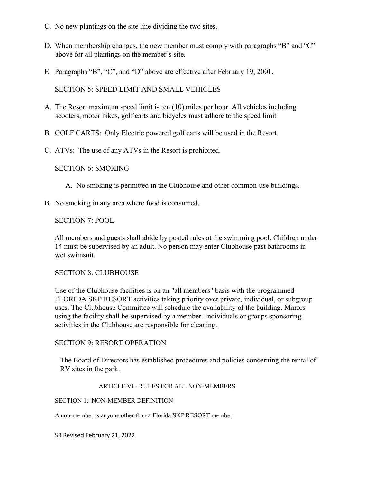- C. No new plantings on the site line dividing the two sites.
- D. When membership changes, the new member must comply with paragraphs "B" and "C" above for all plantings on the member's site.
- E. Paragraphs "B", "C", and "D" above are effective after February 19, 2001.

SECTION 5: SPEED LIMIT AND SMALL VEHICLES

- A. The Resort maximum speed limit is ten (10) miles per hour. All vehicles including scooters, motor bikes, golf carts and bicycles must adhere to the speed limit.
- B. GOLF CARTS: Only Electric powered golf carts will be used in the Resort.
- C. ATVs: The use of any ATVs in the Resort is prohibited.

SECTION 6: SMOKING

- A. No smoking is permitted in the Clubhouse and other common-use buildings.
- B. No smoking in any area where food is consumed.

#### SECTION 7: POOL

All members and guests shall abide by posted rules at the swimming pool. Children under 14 must be supervised by an adult. No person may enter Clubhouse past bathrooms in wet swimsuit.

#### SECTION 8: CLUBHOUSE

Use of the Clubhouse facilities is on an "all members" basis with the programmed FLORIDA SKP RESORT activities taking priority over private, individual, or subgroup uses. The Clubhouse Committee will schedule the availability of the building. Minors using the facility shall be supervised by a member. Individuals or groups sponsoring activities in the Clubhouse are responsible for cleaning.

#### SECTION 9: RESORT OPERATION

The Board of Directors has established procedures and policies concerning the rental of RV sites in the park.

#### ARTICLE VI - RULES FOR ALL NON-MEMBERS

SECTION 1: NON-MEMBER DEFINITION

A non-member is anyone other than a Florida SKP RESORT member

SR Revised February 21, 2022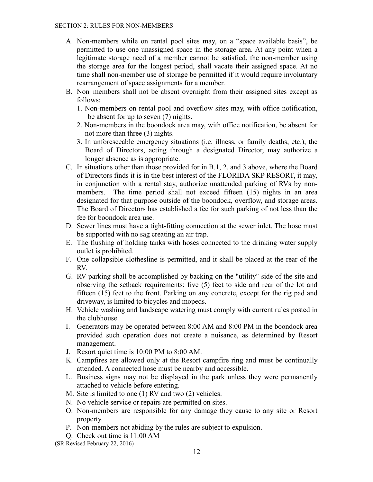- A. Non-members while on rental pool sites may, on a "space available basis", be permitted to use one unassigned space in the storage area. At any point when a legitimate storage need of a member cannot be satisfied, the non-member using the storage area for the longest period, shall vacate their assigned space. At no time shall non-member use of storage be permitted if it would require involuntary rearrangement of space assignments for a member.
- B. Non–members shall not be absent overnight from their assigned sites except as follows:
	- 1. Non-members on rental pool and overflow sites may, with office notification, be absent for up to seven (7) nights.
	- 2. Non-members in the boondock area may, with office notification, be absent for not more than three (3) nights.
	- 3. In unforeseeable emergency situations (i.e. illness, or family deaths, etc.), the Board of Directors, acting through a designated Director, may authorize a longer absence as is appropriate.
- C. In situations other than those provided for in B.1, 2, and 3 above, where the Board of Directors finds it is in the best interest of the FLORIDA SKP RESORT, it may, in conjunction with a rental stay, authorize unattended parking of RVs by nonmembers. The time period shall not exceed fifteen (15) nights in an area designated for that purpose outside of the boondock, overflow, and storage areas. The Board of Directors has established a fee for such parking of not less than the fee for boondock area use.
- D. Sewer lines must have a tight-fitting connection at the sewer inlet. The hose must be supported with no sag creating an air trap.
- E. The flushing of holding tanks with hoses connected to the drinking water supply outlet is prohibited.
- F. One collapsible clothesline is permitted, and it shall be placed at the rear of the RV.
- G. RV parking shall be accomplished by backing on the "utility" side of the site and observing the setback requirements: five (5) feet to side and rear of the lot and fifteen (15) feet to the front. Parking on any concrete, except for the rig pad and driveway, is limited to bicycles and mopeds.
- H. Vehicle washing and landscape watering must comply with current rules posted in the clubhouse.
- I. Generators may be operated between 8:00 AM and 8:00 PM in the boondock area provided such operation does not create a nuisance, as determined by Resort management.
- J. Resort quiet time is 10:00 PM to 8:00 AM.
- K. Campfires are allowed only at the Resort campfire ring and must be continually attended. A connected hose must be nearby and accessible.
- L. Business signs may not be displayed in the park unless they were permanently attached to vehicle before entering.
- M. Site is limited to one (1) RV and two (2) vehicles.
- N. No vehicle service or repairs are permitted on sites.
- O. Non-members are responsible for any damage they cause to any site or Resort property.
- P. Non-members not abiding by the rules are subject to expulsion.
- Q. Check out time is 11:00 AM
- (SR Revised February 22, 2016)